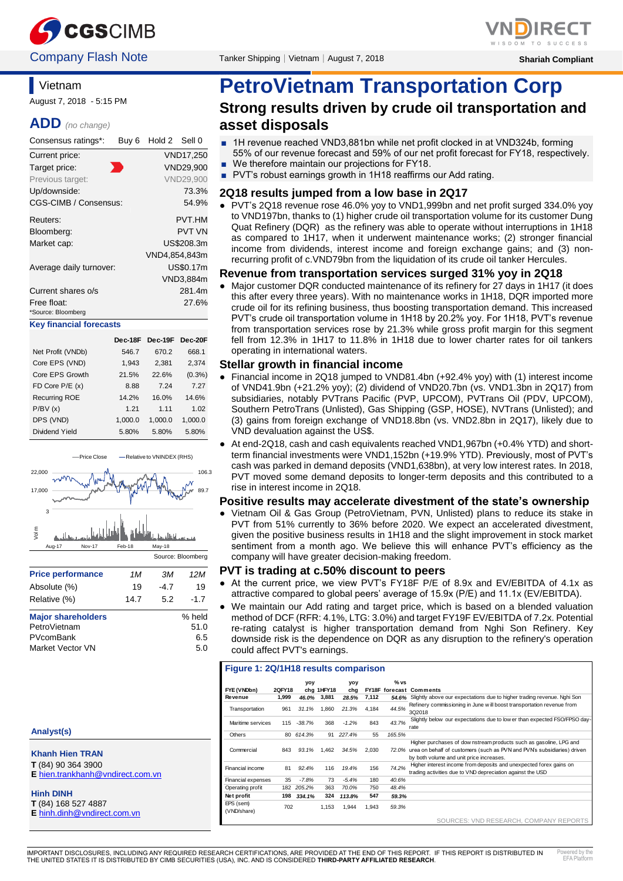



# **Vietnam**

August 7, 2018 - 5:15 PM

### **ADD** *(no change)*

| Consensus ratings*:               | Buy <sub>6</sub> | Hold 2 Sell 0 |               |
|-----------------------------------|------------------|---------------|---------------|
| Current price:                    |                  |               | VND17.250     |
| Target price:                     |                  |               | VND29,900     |
| Previous target:                  |                  |               | VND29,900     |
| Up/downside:                      |                  |               | 73.3%         |
| CGS-CIMB / Consensus:             |                  |               | 54.9%         |
| Reuters:                          |                  |               | <b>PVT.HM</b> |
| Bloomberg:                        |                  |               | <b>PVT VN</b> |
| Market cap:                       |                  |               | US\$208.3m    |
|                                   |                  |               | VND4,854,843m |
| Average daily turnover:           |                  |               | US\$0.17m     |
|                                   |                  |               | VND3,884m     |
| Current shares o/s                |                  |               | 281.4m        |
| Free float:<br>*Source: Bloomberg |                  |               | 27.6%         |
| <b>Key financial forecasts</b>    |                  |               |               |

|                      | Dec-18F | Dec-19F Dec-20F |         |
|----------------------|---------|-----------------|---------|
| Net Profit (VNDb)    | 546.7   | 670.2           | 668.1   |
| Core EPS (VND)       | 1,943   | 2,381           | 2,374   |
| Core EPS Growth      | 21.5%   | 22.6%           | (0.3%)  |
| FD Core P/E (x)      | 8.88    | 7.24            | 7.27    |
| <b>Recurring ROE</b> | 14.2%   | 16.0%           | 14.6%   |
| P/BV(x)              | 1.21    | 1 1 1           | 1.02    |
| DPS (VND)            | 1,000.0 | 1,000.0         | 1,000.0 |
| Dividend Yield       | 5.80%   | 5.80%           | 5.80%   |



### **Analyst(s)**

### **Khanh Hien TRAN**

- **T** (84) 90 364 3900 **E** [hien.trankhanh@vndirect.com.vn](mailto:hien.trankhanh@vndirect.com.vn)
- **Hinh DINH**
- **T** (84) 168 527 4887

# **PetroVietnam Transportation Corp Strong results driven by crude oil transportation and asset disposals**

- 1H revenue reached VND3,881bn while net profit clocked in at VND324b, forming 55% of our revenue forecast and 59% of our net profit forecast for FY18, respectively.
- We therefore maintain our projections for FY18.
- PVT's robust earnings growth in 1H18 reaffirms our Add rating.

### **2Q18 results jumped from a low base in 2Q17**

● PVT's 2Q18 revenue rose 46.0% yoy to VND1,999bn and net profit surged 334.0% yoy to VND197bn, thanks to (1) higher crude oil transportation volume for its customer Dung Quat Refinery (DQR) as the refinery was able to operate without interruptions in 1H18 as compared to 1H17, when it underwent maintenance works; (2) stronger financial income from dividends, interest income and foreign exchange gains; and (3) nonrecurring profit of c.VND79bn from the liquidation of its crude oil tanker Hercules.

### **Revenue from transportation services surged 31% yoy in 2Q18**

Major customer DQR conducted maintenance of its refinery for 27 days in 1H17 (it does this after every three years). With no maintenance works in 1H18, DQR imported more crude oil for its refining business, thus boosting transportation demand. This increased PVT's crude oil transportation volume in 1H18 by 20.2% yoy. For 1H18, PVT's revenue from transportation services rose by 21.3% while gross profit margin for this segment fell from 12.3% in 1H17 to 11.8% in 1H18 due to lower charter rates for oil tankers operating in international waters.

#### **Stellar growth in financial income**

- Financial income in 2Q18 jumped to VND81.4bn (+92.4% yoy) with (1) interest income of VND41.9bn (+21.2% yoy); (2) dividend of VND20.7bn (vs. VND1.3bn in 2Q17) from subsidiaries, notably PVTrans Pacific (PVP, UPCOM), PVTrans Oil (PDV, UPCOM), Southern PetroTrans (Unlisted), Gas Shipping (GSP, HOSE), NVTrans (Unlisted); and (3) gains from foreign exchange of VND18.8bn (vs. VND2.8bn in 2Q17), likely due to VND devaluation against the US\$.
- At end-2Q18, cash and cash equivalents reached VND1,967bn (+0.4% YTD) and shortterm financial investments were VND1,152bn (+19.9% YTD). Previously, most of PVT's cash was parked in demand deposits (VND1,638bn), at very low interest rates. In 2018, PVT moved some demand deposits to longer-term deposits and this contributed to a rise in interest income in 2Q18.

#### **Positive results may accelerate divestment of the state's ownership**

● Vietnam Oil & Gas Group (PetroVietnam, PVN, Unlisted) plans to reduce its stake in PVT from 51% currently to 36% before 2020. We expect an accelerated divestment, given the positive business results in 1H18 and the slight improvement in stock market sentiment from a month ago. We believe this will enhance PVT's efficiency as the company will have greater decision-making freedom.

### **PVT is trading at c.50% discount to peers**

- At the current price, we view PVT's FY18F P/E of 8.9x and EV/EBITDA of 4.1x as attractive compared to global peers' average of 15.9x (P/E) and 11.1x (EV/EBITDA).
- We maintain our Add rating and target price, which is based on a blended valuation method of DCF (RFR: 4.1%, LTG: 3.0%) and target FY19F EV/EBITDA of 7.2x. Potential re-rating catalyst is higher transportation demand from Nghi Son Refinery. Key downside risk is the dependence on DQR as any disruption to the refinery's operation could affect PVT's earnings.

#### **Figure 1: 2Q/1H18 results comparison**

|                          |        | yoy      |            | <b>VOV</b> |       | % vs                  |                                                                                                                                                                                                 |
|--------------------------|--------|----------|------------|------------|-------|-----------------------|-------------------------------------------------------------------------------------------------------------------------------------------------------------------------------------------------|
| FYE (VNDbn)              | 2QFY18 |          | chg 1HFY18 | chg        |       | <b>FY18F</b> forecast | Comments                                                                                                                                                                                        |
| Revenue                  | 1.999  | 46.0%    | 3.881      | 28.5%      | 7,112 | 54.6%                 | Slightly above our expectations due to higher trading revenue. Nghi Son                                                                                                                         |
| Transportation           | 961    | 31.1%    | 1.860      | 21.3%      | 4.184 | 44.5%                 | Refinery commissioning in June will boost transportation revenue from<br>3Q2018                                                                                                                 |
| Maritime services        | 115    | $-38.7%$ | 368        | $-1.2%$    | 843   | 43.7%                 | Slightly below our expectations due to low er than expected FSO/FPSO day-<br>rate                                                                                                               |
| Others                   | 80     | 614.3%   | 91         | 227.4%     | 55    | 165.5%                |                                                                                                                                                                                                 |
| Commercial               | 843    | 93.1%    | 1.462      | 34.5%      | 2.030 |                       | Higher purchases of dow nstream products such as gasoline, LPG and<br>72.0% urea on behalf of customers (such as PVN and PVN's subsidiaries) driven<br>by both volume and unit price increases. |
| Financial income         | 81     | 92.4%    | 116        | 19.4%      | 156   | 74.2%                 | Higher interest income from deposits and unexpected forex gains on<br>trading activities due to VND depreciation against the USD                                                                |
| Financial expenses       | 35     | $-7.8%$  | 73         | $-5.4%$    | 180   | 40.6%                 |                                                                                                                                                                                                 |
| Operating profit         | 182    | 205.2%   | 363        | 70.0%      | 750   | 48.4%                 |                                                                                                                                                                                                 |
| Net profit               | 198    | 334.1%   | 324        | 113.8%     | 547   | 59.3%                 |                                                                                                                                                                                                 |
| EPS (sem)<br>(VND/share) | 702    |          | 1,153      | 1,944      | 1,943 | 59.3%                 |                                                                                                                                                                                                 |

SOURCES: VND RESEARCH, COMPANY REPORTS

٦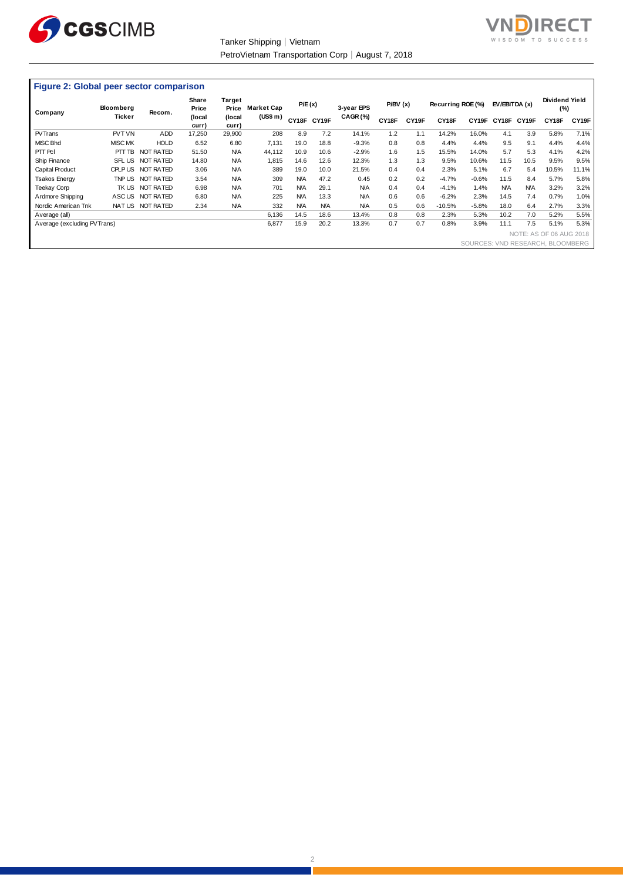

Tanker Shipping│Vietnam PetroVietnam Transportation Corp│August 7, 2018



### **Figure 2: Global peer sector comparison**

| Company                     | <b>Bloomberg</b> | Recom.           | Share<br>Price  | Target<br>Price | <b>Market Cap</b> | P/E(x)     |            | 3-year EPS | P/BV(x) |       | Recurring ROE (%) |                                  | EV/EBITDA (x) |            | Dividend Yield<br>(%)   |       |
|-----------------------------|------------------|------------------|-----------------|-----------------|-------------------|------------|------------|------------|---------|-------|-------------------|----------------------------------|---------------|------------|-------------------------|-------|
|                             | Ticker           |                  | (local<br>curr) | (local<br>curr) | (US\$ m)          | CY18F      | CY19F      | CAGR(%)    | CY18F   | CY19F | CY18F             | CY19F                            | CY18F         | CY19F      | CY18F                   | CY19F |
| <b>PVTrans</b>              | PVT VN           | ADD              | 17,250          | 29,900          | 208               | 8.9        | 7.2        | 14.1%      | 1.2     | 1.1   | 14.2%             | 16.0%                            | 4.1           | 3.9        | 5.8%                    | 7.1%  |
| <b>MISC Bhd</b>             | <b>MISC MK</b>   | <b>HOLD</b>      | 6.52            | 6.80            | 7,131             | 19.0       | 18.8       | $-9.3%$    | 0.8     | 0.8   | 4.4%              | 4.4%                             | 9.5           | 9.1        | 4.4%                    | 4.4%  |
| PTT PcI                     | PTT TB           | NOT RATED        | 51.50           | <b>N/A</b>      | 44,112            | 10.9       | 10.6       | $-2.9%$    | 1.6     | 1.5   | 15.5%             | 14.0%                            | 5.7           | 5.3        | 4.1%                    | 4.2%  |
| Ship Finance                | SFL US           | NOT RATED        | 14.80           | <b>N/A</b>      | 1,815             | 14.6       | 12.6       | 12.3%      | 1.3     | 1.3   | 9.5%              | 10.6%                            | 11.5          | 10.5       | 9.5%                    | 9.5%  |
| Capital Product             | <b>CPLP US</b>   | NOT RATED        | 3.06            | <b>N/A</b>      | 389               | 19.0       | 10.0       | 21.5%      | 0.4     | 0.4   | 2.3%              | 5.1%                             | 6.7           | 5.4        | 10.5%                   | 11.1% |
| Tsakos Energy               |                  | TNP US NOT RATED | 3.54            | <b>N/A</b>      | 309               | <b>N/A</b> | 47.2       | 0.45       | 0.2     | 0.2   | $-4.7%$           | $-0.6%$                          | 11.5          | 8.4        | 5.7%                    | 5.8%  |
| Teekay Corp                 |                  | TK US NOT RATED  | 6.98            | <b>N/A</b>      | 701               | <b>N/A</b> | 29.1       | <b>N/A</b> | 0.4     | 0.4   | $-4.1%$           | 1.4%                             | <b>N/A</b>    | <b>N/A</b> | 3.2%                    | 3.2%  |
| Ardmore Shipping            |                  | ASCUS NOT RATED  | 6.80            | <b>N/A</b>      | 225               | <b>N/A</b> | 13.3       | <b>N/A</b> | 0.6     | 0.6   | $-6.2%$           | 2.3%                             | 14.5          | 7.4        | 0.7%                    | 1.0%  |
| Nordic American Tnk         |                  | NATUS NOT RATED  | 2.34            | <b>N/A</b>      | 332               | <b>N/A</b> | <b>N/A</b> | <b>N/A</b> | 0.5     | 0.6   | $-10.5%$          | $-5.8%$                          | 18.0          | 6.4        | 2.7%                    | 3.3%  |
| Average (all)               |                  |                  |                 |                 | 6,136             | 14.5       | 18.6       | 13.4%      | 0.8     | 0.8   | 2.3%              | 5.3%                             | 10.2          | 7.0        | 5.2%                    | 5.5%  |
| Average (excluding PVTrans) |                  |                  |                 |                 | 6,877             | 15.9       | 20.2       | 13.3%      | 0.7     | 0.7   | 0.8%              | 3.9%                             | 11.1          | 7.5        | 5.1%                    | 5.3%  |
|                             |                  |                  |                 |                 |                   |            |            |            |         |       |                   |                                  |               |            | NOTE: AS OF 06 AUG 2018 |       |
|                             |                  |                  |                 |                 |                   |            |            |            |         |       |                   | SOURCES: VND RESEARCH, BLOOMBERG |               |            |                         |       |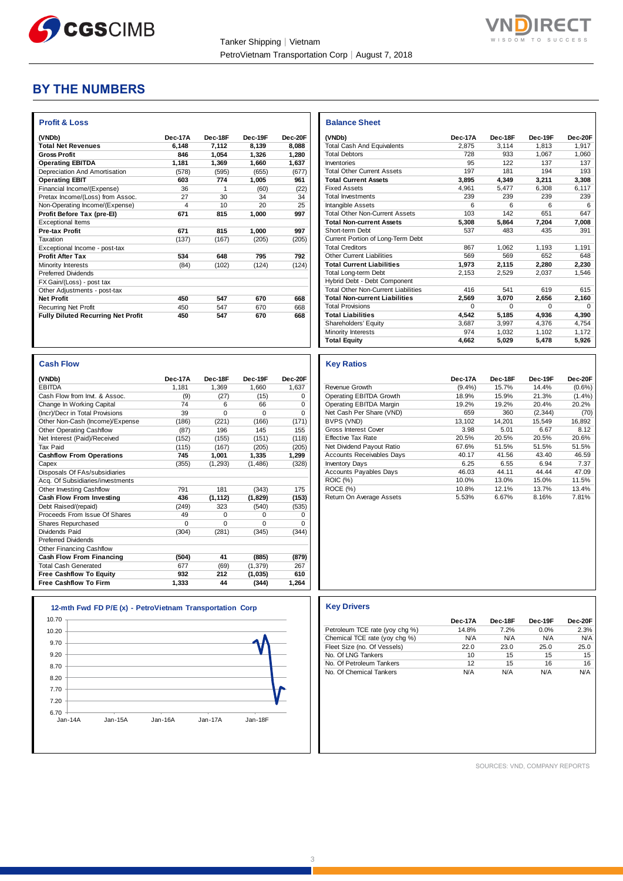



## **BY THE NUMBERS**

| (VNDb)                                    | Dec-17A | Dec-18F | Dec-19F | Dec-20F |
|-------------------------------------------|---------|---------|---------|---------|
| <b>Total Net Revenues</b>                 | 6.148   | 7,112   | 8,139   | 8.088   |
| <b>Gross Profit</b>                       | 846     | 1,054   | 1.326   | 1,280   |
| <b>Operating EBITDA</b>                   | 1.181   | 1,369   | 1,660   | 1,637   |
| Depreciation And Amortisation             | (578)   | (595)   | (655)   | (677)   |
| <b>Operating EBIT</b>                     | 603     | 774     | 1,005   | 961     |
| Financial Income/(Expense)                | 36      | 1       | (60)    | (22)    |
| Pretax Income/(Loss) from Assoc.          | 27      | 30      | 34      | 34      |
| Non-Operating Income/(Expense)            | 4       | 10      | 20      | 25      |
| Profit Before Tax (pre-El)                | 671     | 815     | 1,000   | 997     |
| <b>Exceptional Items</b>                  |         |         |         |         |
| <b>Pre-tax Profit</b>                     | 671     | 815     | 1,000   | 997     |
| Taxation                                  | (137)   | (167)   | (205)   | (205)   |
| Exceptional Income - post-tax             |         |         |         |         |
| <b>Profit After Tax</b>                   | 534     | 648     | 795     | 792     |
| Minority Interests                        | (84)    | (102)   | (124)   | (124)   |
| <b>Preferred Dividends</b>                |         |         |         |         |
| FX Gain/(Loss) - post tax                 |         |         |         |         |
| Other Adjustments - post-tax              |         |         |         |         |
| <b>Net Profit</b>                         | 450     | 547     | 670     | 668     |
| <b>Recurring Net Profit</b>               | 450     | 547     | 670     | 668     |
| <b>Fully Diluted Recurring Net Profit</b> | 450     | 547     | 670     | 668     |

| <b>Cash Flow</b>                 |          |          |          |          |
|----------------------------------|----------|----------|----------|----------|
| (VNDb)                           | Dec-17A  | Dec-18F  | Dec-19F  | Dec-20F  |
| <b>EBITDA</b>                    | 1.181    | 1.369    | 1,660    | 1,637    |
| Cash Flow from Invt. & Assoc.    | (9)      | (27)     | (15)     | $\Omega$ |
| Change In Working Capital        | 74       | 6        | 66       | $\Omega$ |
| (Incr)/Decr in Total Provisions  | 39       | $\Omega$ | $\Omega$ | $\Omega$ |
| Other Non-Cash (Income)/Expense  | (186)    | (221)    | (166)    | (171)    |
| <b>Other Operating Cashflow</b>  | (87)     | 196      | 145      | 155      |
| Net Interest (Paid)/Received     | (152)    | (155)    | (151)    | (118)    |
| Tax Paid                         | (115)    | (167)    | (205)    | (205)    |
| <b>Cashflow From Operations</b>  | 745      | 1,001    | 1,335    | 1,299    |
| Capex                            | (355)    | (1, 293) | (1,486)  | (328)    |
| Disposals Of FAs/subsidiaries    |          |          |          |          |
| Acg. Of Subsidiaries/investments |          |          |          |          |
| <b>Other Investing Cashflow</b>  | 791      | 181      | (343)    | 175      |
| Cash Flow From Investing         | 436      | (1, 112) | (1,829)  | (153)    |
| Debt Raised/(repaid)             | (249)    | 323      | (540)    | (535)    |
| Proceeds From Issue Of Shares    | 49       | $\Omega$ | $\Omega$ | 0        |
| Shares Repurchased               | $\Omega$ | $\Omega$ | $\Omega$ | $\Omega$ |
| Dividends Paid                   | (304)    | (281)    | (345)    | (344)    |
| <b>Preferred Dividends</b>       |          |          |          |          |
| Other Financing Cashflow         |          |          |          |          |
| Cash Flow From Financing         | (504)    | 41       | (885)    | (879)    |
| <b>Total Cash Generated</b>      | 677      | (69)     | (1, 379) | 267      |
| <b>Free Cashflow To Equity</b>   | 932      | 212      | (1,035)  | 610      |
| <b>Free Cashflow To Firm</b>     | 1.333    | 44       | (344)    | 1.264    |

|         | 12-mth Fwd FD P/E (x) - PetroVietnam Transportation Corp |         |           |         |
|---------|----------------------------------------------------------|---------|-----------|---------|
| 10.70   |                                                          |         |           |         |
| 10.20   |                                                          |         |           |         |
| 9.70    |                                                          |         |           |         |
| 9.20    |                                                          |         |           |         |
| 8.70    |                                                          |         |           |         |
| 8.20    |                                                          |         |           |         |
| 7.70    |                                                          |         |           |         |
| 7.20    |                                                          |         |           |         |
| 6.70    |                                                          |         |           |         |
| Jan-14A | Jan-15A                                                  | Jan-16A | $Jan-17A$ | Jan-18F |
|         |                                                          |         |           |         |

| <b>Balance Sheet</b>                       |         |          |          |          |
|--------------------------------------------|---------|----------|----------|----------|
| (VNDb)                                     | Dec-17A | Dec-18F  | Dec-19F  | Dec-20F  |
| <b>Total Cash And Equivalents</b>          | 2.875   | 3.114    | 1.813    | 1.917    |
| <b>Total Debtors</b>                       | 728     | 933      | 1,067    | 1,060    |
| Inventories                                | 95      | 122      | 137      | 137      |
| <b>Total Other Current Assets</b>          | 197     | 181      | 194      | 193      |
| <b>Total Current Assets</b>                | 3,895   | 4,349    | 3,211    | 3,308    |
| <b>Fixed Assets</b>                        | 4.961   | 5.477    | 6.308    | 6,117    |
| <b>Total Investments</b>                   | 239     | 239      | 239      | 239      |
| Intangible Assets                          | 6       | 6        | 6        | 6        |
| <b>Total Other Non-Current Assets</b>      | 103     | 142      | 651      | 647      |
| <b>Total Non-current Assets</b>            | 5,308   | 5,864    | 7,204    | 7,008    |
| Short-term Debt                            | 537     | 483      | 435      | 391      |
| Current Portion of Long-Term Debt          |         |          |          |          |
| <b>Total Creditors</b>                     | 867     | 1,062    | 1.193    | 1,191    |
| <b>Other Current Liabilities</b>           | 569     | 569      | 652      | 648      |
| <b>Total Current Liabilities</b>           | 1,973   | 2.115    | 2,280    | 2,230    |
| Total Long-term Debt                       | 2,153   | 2,529    | 2,037    | 1,546    |
| Hybrid Debt - Debt Component               |         |          |          |          |
| <b>Total Other Non-Current Liabilities</b> | 416     | 541      | 619      | 615      |
| <b>Total Non-current Liabilities</b>       | 2.569   | 3.070    | 2,656    | 2,160    |
| <b>Total Provisions</b>                    | 0       | $\Omega$ | $\Omega$ | $\Omega$ |
| <b>Total Liabilities</b>                   | 4.542   | 5,185    | 4,936    | 4,390    |
| Shareholders' Equity                       | 3,687   | 3,997    | 4,376    | 4,754    |
| Minority Interests                         | 974     | 1.032    | 1,102    | 1,172    |
| <b>Total Equity</b>                        | 4,662   | 5,029    | 5,478    | 5,926    |

#### **Key Ratios**

|                                  | Dec-17A   | Dec-18F | Dec-19F  | Dec-20F   |
|----------------------------------|-----------|---------|----------|-----------|
| Revenue Growth                   | $(9.4\%)$ | 15.7%   | 14.4%    | $(0.6\%)$ |
| Operating EBITDA Growth          | 18.9%     | 15.9%   | 21.3%    | $(1.4\%)$ |
| Operating EBITDA Margin          | 19.2%     | 19.2%   | 20.4%    | 20.2%     |
| Net Cash Per Share (VND)         | 659       | 360     | (2, 344) | (70)      |
| BVPS (VND)                       | 13.102    | 14.201  | 15.549   | 16.892    |
| Gross Interest Cover             | 3.98      | 5.01    | 6.67     | 8.12      |
| <b>Effective Tax Rate</b>        | 20.5%     | 20.5%   | 20.5%    | 20.6%     |
| Net Dividend Payout Ratio        | 67.6%     | 51.5%   | 51.5%    | 51.5%     |
| <b>Accounts Receivables Days</b> | 40.17     | 41.56   | 43.40    | 46.59     |
| <b>Inventory Days</b>            | 6.25      | 6.55    | 6.94     | 7.37      |
| <b>Accounts Payables Days</b>    | 46.03     | 44.11   | 44.44    | 47.09     |
| <b>ROIC (%)</b>                  | 10.0%     | 13.0%   | 15.0%    | 11.5%     |
| ROCE (%)                         | 10.8%     | 12.1%   | 13.7%    | 13.4%     |
| Return On Average Assets         | 5.53%     | 6.67%   | 8.16%    | 7.81%     |

### **12-mth Fwd FD P/E (x) - PetroVietnam Transportation Corp Key Drivers**

|                                | Dec-17A | Dec-18F | Dec-19F | Dec-20F |
|--------------------------------|---------|---------|---------|---------|
| Petroleum TCE rate (yoy chg %) | 14.8%   | 7.2%    | 0.0%    | 2.3%    |
| Chemical TCE rate (yoy chg %)  | N/A     | N/A     | N/A     | N/A     |
| Fleet Size (no. Of Vessels)    | 22.0    | 23.0    | 25.0    | 25.0    |
| No. Of LNG Tankers             | 10      | 15      | 15      | 15      |
| No. Of Petroleum Tankers       | 12      | 15      | 16      | 16      |
| No. Of Chemical Tankers        | N/A     | N/A     | N/A     | N/A     |

SOURCES: VND, COMPANY REPORTS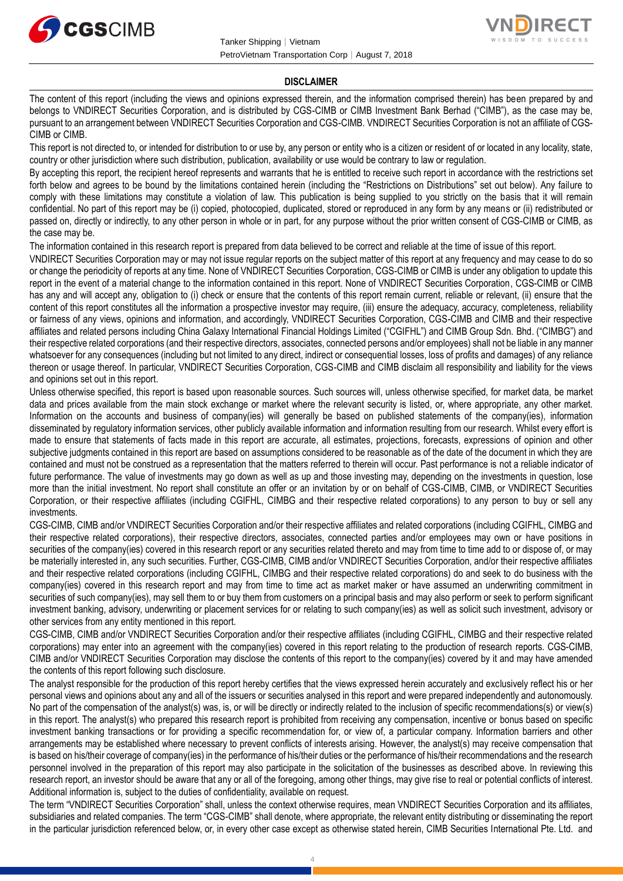



### **DISCLAIMER**

The content of this report (including the views and opinions expressed therein, and the information comprised therein) has been prepared by and belongs to VNDIRECT Securities Corporation, and is distributed by CGS-CIMB or CIMB Investment Bank Berhad ("CIMB"), as the case may be, pursuant to an arrangement between VNDIRECT Securities Corporation and CGS-CIMB. VNDIRECT Securities Corporation is not an affiliate of CGS-CIMB or CIMB.

This report is not directed to, or intended for distribution to or use by, any person or entity who is a citizen or resident of or located in any locality, state, country or other jurisdiction where such distribution, publication, availability or use would be contrary to law or regulation.

By accepting this report, the recipient hereof represents and warrants that he is entitled to receive such report in accordance with the restrictions set forth below and agrees to be bound by the limitations contained herein (including the "Restrictions on Distributions" set out below). Any failure to comply with these limitations may constitute a violation of law. This publication is being supplied to you strictly on the basis that it will remain confidential. No part of this report may be (i) copied, photocopied, duplicated, stored or reproduced in any form by any means or (ii) redistributed or passed on, directly or indirectly, to any other person in whole or in part, for any purpose without the prior written consent of CGS-CIMB or CIMB, as the case may be.

The information contained in this research report is prepared from data believed to be correct and reliable at the time of issue of this report.

VNDIRECT Securities Corporation may or may not issue regular reports on the subject matter of this report at any frequency and may cease to do so or change the periodicity of reports at any time. None of VNDIRECT Securities Corporation, CGS-CIMB or CIMB is under any obligation to update this report in the event of a material change to the information contained in this report. None of VNDIRECT Securities Corporation, CGS-CIMB or CIMB has any and will accept any, obligation to (i) check or ensure that the contents of this report remain current, reliable or relevant, (ii) ensure that the content of this report constitutes all the information a prospective investor may require, (iii) ensure the adequacy, accuracy, completeness, reliability or fairness of any views, opinions and information, and accordingly, VNDIRECT Securities Corporation, CGS-CIMB and CIMB and their respective affiliates and related persons including China Galaxy International Financial Holdings Limited ("CGIFHL") and CIMB Group Sdn. Bhd. ("CIMBG") and their respective related corporations (and their respective directors, associates, connected persons and/or employees) shall not be liable in any manner whatsoever for any consequences (including but not limited to any direct, indirect or consequential losses, loss of profits and damages) of any reliance thereon or usage thereof. In particular, VNDIRECT Securities Corporation, CGS-CIMB and CIMB disclaim all responsibility and liability for the views and opinions set out in this report.

Unless otherwise specified, this report is based upon reasonable sources. Such sources will, unless otherwise specified, for market data, be market data and prices available from the main stock exchange or market where the relevant security is listed, or, where appropriate, any other market. Information on the accounts and business of company(ies) will generally be based on published statements of the company(ies), information disseminated by regulatory information services, other publicly available information and information resulting from our research. Whilst every effort is made to ensure that statements of facts made in this report are accurate, all estimates, projections, forecasts, expressions of opinion and other subjective judgments contained in this report are based on assumptions considered to be reasonable as of the date of the document in which they are contained and must not be construed as a representation that the matters referred to therein will occur. Past performance is not a reliable indicator of future performance. The value of investments may go down as well as up and those investing may, depending on the investments in question, lose more than the initial investment. No report shall constitute an offer or an invitation by or on behalf of CGS-CIMB, CIMB, or VNDIRECT Securities Corporation, or their respective affiliates (including CGIFHL, CIMBG and their respective related corporations) to any person to buy or sell any investments.

CGS-CIMB, CIMB and/or VNDIRECT Securities Corporation and/or their respective affiliates and related corporations (including CGIFHL, CIMBG and their respective related corporations), their respective directors, associates, connected parties and/or employees may own or have positions in securities of the company(ies) covered in this research report or any securities related thereto and may from time to time add to or dispose of, or may be materially interested in, any such securities. Further, CGS-CIMB, CIMB and/or VNDIRECT Securities Corporation, and/or their respective affiliates and their respective related corporations (including CGIFHL, CIMBG and their respective related corporations) do and seek to do business with the company(ies) covered in this research report and may from time to time act as market maker or have assumed an underwriting commitment in securities of such company(ies), may sell them to or buy them from customers on a principal basis and may also perform or seek to perform significant investment banking, advisory, underwriting or placement services for or relating to such company(ies) as well as solicit such investment, advisory or other services from any entity mentioned in this report.

CGS-CIMB, CIMB and/or VNDIRECT Securities Corporation and/or their respective affiliates (including CGIFHL, CIMBG and their respective related corporations) may enter into an agreement with the company(ies) covered in this report relating to the production of research reports. CGS-CIMB, CIMB and/or VNDIRECT Securities Corporation may disclose the contents of this report to the company(ies) covered by it and may have amended the contents of this report following such disclosure.

The analyst responsible for the production of this report hereby certifies that the views expressed herein accurately and exclusively reflect his or her personal views and opinions about any and all of the issuers or securities analysed in this report and were prepared independently and autonomously. No part of the compensation of the analyst(s) was, is, or will be directly or indirectly related to the inclusion of specific recommendations(s) or view(s) in this report. The analyst(s) who prepared this research report is prohibited from receiving any compensation, incentive or bonus based on specific investment banking transactions or for providing a specific recommendation for, or view of, a particular company. Information barriers and other arrangements may be established where necessary to prevent conflicts of interests arising. However, the analyst(s) may receive compensation that is based on his/their coverage of company(ies) in the performance of his/their duties or the performance of his/their recommendations and the research personnel involved in the preparation of this report may also participate in the solicitation of the businesses as described above. In reviewing this research report, an investor should be aware that any or all of the foregoing, among other things, may give rise to real or potential conflicts of interest. Additional information is, subject to the duties of confidentiality, available on request.

The term "VNDIRECT Securities Corporation" shall, unless the context otherwise requires, mean VNDIRECT Securities Corporation and its affiliates, subsidiaries and related companies. The term "CGS-CIMB" shall denote, where appropriate, the relevant entity distributing or disseminating the report in the particular jurisdiction referenced below, or, in every other case except as otherwise stated herein, CIMB Securities International Pte. Ltd. and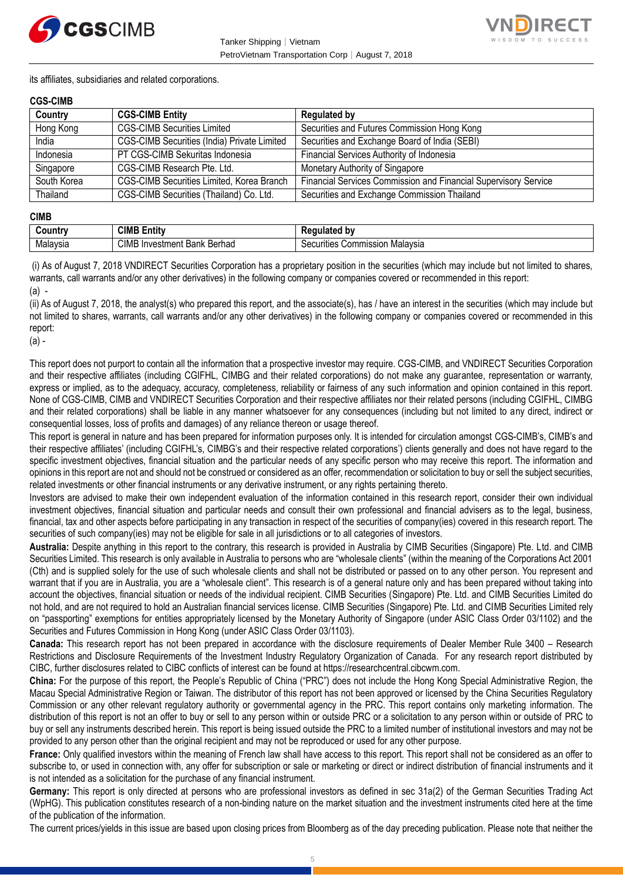



its affiliates, subsidiaries and related corporations.

### **CGS-CIMB**

| Country     | <b>CGS-CIMB Entity</b>                             | <b>Regulated by</b>                                             |
|-------------|----------------------------------------------------|-----------------------------------------------------------------|
| Hong Kong   | <b>CGS-CIMB Securities Limited</b>                 | Securities and Futures Commission Hong Kong                     |
| India       | <b>CGS-CIMB Securities (India) Private Limited</b> | Securities and Exchange Board of India (SEBI)                   |
| Indonesia   | PT CGS-CIMB Sekuritas Indonesia                    | Financial Services Authority of Indonesia                       |
| Singapore   | CGS-CIMB Research Pte. Ltd.                        | Monetary Authority of Singapore                                 |
| South Korea | CGS-CIMB Securities Limited, Korea Branch          | Financial Services Commission and Financial Supervisory Service |
| Thailand    | CGS-CIMB Securities (Thailand) Co. Ltd.            | Securities and Exchange Commission Thailand                     |

#### **CIMB**

|          | <b>CIMB</b>                               | .                                                              |
|----------|-------------------------------------------|----------------------------------------------------------------|
| -------  | <b>Entity</b>                             | --- -                                                          |
| Malaysıa | <b>CIMB</b><br>Bank Berhad<br>√Investment | :nmmiccinn<br>∴Malavsi<br>ïties<br>ഹ<br>חר<br>ыл<br>៴៰៲ϲ<br>ша |

(i) As of August 7, 2018 VNDIRECT Securities Corporation has a proprietary position in the securities (which may include but not limited to shares, warrants, call warrants and/or any other derivatives) in the following company or companies covered or recommended in this report:  $(a)$  -

(ii) As of August 7, 2018, the analyst(s) who prepared this report, and the associate(s), has / have an interest in the securities (which may include but not limited to shares, warrants, call warrants and/or any other derivatives) in the following company or companies covered or recommended in this report:

(a) -

This report does not purport to contain all the information that a prospective investor may require. CGS-CIMB, and VNDIRECT Securities Corporation and their respective affiliates (including CGIFHL, CIMBG and their related corporations) do not make any guarantee, representation or warranty, express or implied, as to the adequacy, accuracy, completeness, reliability or fairness of any such information and opinion contained in this report. None of CGS-CIMB, CIMB and VNDIRECT Securities Corporation and their respective affiliates nor their related persons (including CGIFHL, CIMBG and their related corporations) shall be liable in any manner whatsoever for any consequences (including but not limited to any direct, indirect or consequential losses, loss of profits and damages) of any reliance thereon or usage thereof.

This report is general in nature and has been prepared for information purposes only. It is intended for circulation amongst CGS-CIMB's, CIMB's and their respective affiliates' (including CGIFHL's, CIMBG's and their respective related corporations') clients generally and does not have regard to the specific investment objectives, financial situation and the particular needs of any specific person who may receive this report. The information and opinions in this report are not and should not be construed or considered as an offer, recommendation or solicitation to buy or sell the subject securities, related investments or other financial instruments or any derivative instrument, or any rights pertaining thereto.

Investors are advised to make their own independent evaluation of the information contained in this research report, consider their own individual investment objectives, financial situation and particular needs and consult their own professional and financial advisers as to the legal, business, financial, tax and other aspects before participating in any transaction in respect of the securities of company(ies) covered in this research report. The securities of such company(ies) may not be eligible for sale in all jurisdictions or to all categories of investors.

**Australia:** Despite anything in this report to the contrary, this research is provided in Australia by CIMB Securities (Singapore) Pte. Ltd. and CIMB Securities Limited. This research is only available in Australia to persons who are "wholesale clients" (within the meaning of the Corporations Act 2001 (Cth) and is supplied solely for the use of such wholesale clients and shall not be distributed or passed on to any other person. You represent and warrant that if you are in Australia, you are a "wholesale client". This research is of a general nature only and has been prepared without taking into account the objectives, financial situation or needs of the individual recipient. CIMB Securities (Singapore) Pte. Ltd. and CIMB Securities Limited do not hold, and are not required to hold an Australian financial services license. CIMB Securities (Singapore) Pte. Ltd. and CIMB Securities Limited rely on "passporting" exemptions for entities appropriately licensed by the Monetary Authority of Singapore (under ASIC Class Order 03/1102) and the Securities and Futures Commission in Hong Kong (under ASIC Class Order 03/1103).

**Canada:** This research report has not been prepared in accordance with the disclosure requirements of Dealer Member Rule 3400 – Research Restrictions and Disclosure Requirements of the Investment Industry Regulatory Organization of Canada. For any research report distributed by CIBC, further disclosures related to CIBC conflicts of interest can be found at https://researchcentral.cibcwm.com.

**China:** For the purpose of this report, the People's Republic of China ("PRC") does not include the Hong Kong Special Administrative Region, the Macau Special Administrative Region or Taiwan. The distributor of this report has not been approved or licensed by the China Securities Regulatory Commission or any other relevant regulatory authority or governmental agency in the PRC. This report contains only marketing information. The distribution of this report is not an offer to buy or sell to any person within or outside PRC or a solicitation to any person within or outside of PRC to buy or sell any instruments described herein. This report is being issued outside the PRC to a limited number of institutional investors and may not be provided to any person other than the original recipient and may not be reproduced or used for any other purpose.

**France:** Only qualified investors within the meaning of French law shall have access to this report. This report shall not be considered as an offer to subscribe to, or used in connection with, any offer for subscription or sale or marketing or direct or indirect distribution of financial instruments and it is not intended as a solicitation for the purchase of any financial instrument.

**Germany:** This report is only directed at persons who are professional investors as defined in sec 31a(2) of the German Securities Trading Act (WpHG). This publication constitutes research of a non-binding nature on the market situation and the investment instruments cited here at the time of the publication of the information.

The current prices/yields in this issue are based upon closing prices from Bloomberg as of the day preceding publication. Please note that neither the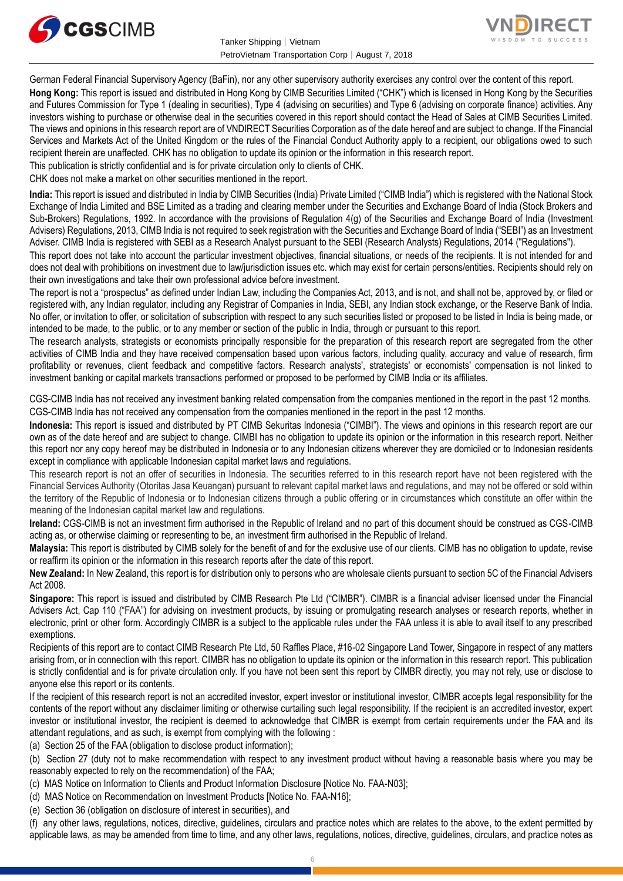



German Federal Financial Supervisory Agency (BaFin), nor any other supervisory authority exercises any control over the content of this report. **Hong Kong:** This report is issued and distributed in Hong Kong by CIMB Securities Limited ("CHK") which is licensed in Hong Kong by the Securities and Futures Commission for Type 1 (dealing in securities), Type 4 (advising on securities) and Type 6 (advising on corporate finance) activities. Any investors wishing to purchase or otherwise deal in the securities covered in this report should contact the Head of Sales at CIMB Securities Limited. The views and opinions in this research report are of VNDIRECT Securities Corporation as of the date hereof and are subject to change. If the Financial Services and Markets Act of the United Kingdom or the rules of the Financial Conduct Authority apply to a recipient, our obligations owed to such recipient therein are unaffected. CHK has no obligation to update its opinion or the information in this research report.

This publication is strictly confidential and is for private circulation only to clients of CHK.

CHK does not make a market on other securities mentioned in the report.

**India:** This report is issued and distributed in India by CIMB Securities (India) Private Limited ("CIMB India") which is registered with the National Stock Exchange of India Limited and BSE Limited as a trading and clearing member under the Securities and Exchange Board of India (Stock Brokers and Sub-Brokers) Regulations, 1992. In accordance with the provisions of Regulation 4(g) of the Securities and Exchange Board of India (Investment Advisers) Regulations, 2013, CIMB India is not required to seek registration with the Securities and Exchange Board of India ("SEBI") as an Investment Adviser. CIMB India is registered with SEBI as a Research Analyst pursuant to the SEBI (Research Analysts) Regulations, 2014 ("Regulations").

This report does not take into account the particular investment objectives, financial situations, or needs of the recipients. It is not intended for and does not deal with prohibitions on investment due to law/jurisdiction issues etc. which may exist for certain persons/entities. Recipients should rely on their own investigations and take their own professional advice before investment.

The report is not a "prospectus" as defined under Indian Law, including the Companies Act, 2013, and is not, and shall not be, approved by, or filed or registered with, any Indian regulator, including any Registrar of Companies in India, SEBI, any Indian stock exchange, or the Reserve Bank of India. No offer, or invitation to offer, or solicitation of subscription with respect to any such securities listed or proposed to be listed in India is being made, or intended to be made, to the public, or to any member or section of the public in India, through or pursuant to this report.

The research analysts, strategists or economists principally responsible for the preparation of this research report are segregated from the other activities of CIMB India and they have received compensation based upon various factors, including quality, accuracy and value of research, firm profitability or revenues, client feedback and competitive factors. Research analysts', strategists' or economists' compensation is not linked to investment banking or capital markets transactions performed or proposed to be performed by CIMB India or its affiliates.

CGS-CIMB India has not received any investment banking related compensation from the companies mentioned in the report in the past 12 months. CGS-CIMB India has not received any compensation from the companies mentioned in the report in the past 12 months.

**Indonesia:** This report is issued and distributed by PT CIMB Sekuritas Indonesia ("CIMBI"). The views and opinions in this research report are our own as of the date hereof and are subject to change. CIMBI has no obligation to update its opinion or the information in this research report. Neither this report nor any copy hereof may be distributed in Indonesia or to any Indonesian citizens wherever they are domiciled or to Indonesian residents except in compliance with applicable Indonesian capital market laws and regulations.

This research report is not an offer of securities in Indonesia. The securities referred to in this research report have not been registered with the Financial Services Authority (Otoritas Jasa Keuangan) pursuant to relevant capital market laws and regulations, and may not be offered or sold within the territory of the Republic of Indonesia or to Indonesian citizens through a public offering or in circumstances which constitute an offer within the meaning of the Indonesian capital market law and regulations.

**Ireland:** CGS-CIMB is not an investment firm authorised in the Republic of Ireland and no part of this document should be construed as CGS-CIMB acting as, or otherwise claiming or representing to be, an investment firm authorised in the Republic of Ireland.

**Malaysia:** This report is distributed by CIMB solely for the benefit of and for the exclusive use of our clients. CIMB has no obligation to update, revise or reaffirm its opinion or the information in this research reports after the date of this report.

**New Zealand:** In New Zealand, this report is for distribution only to persons who are wholesale clients pursuant to section 5C of the Financial Advisers Act 2008.

**Singapore:** This report is issued and distributed by CIMB Research Pte Ltd ("CIMBR"). CIMBR is a financial adviser licensed under the Financial Advisers Act, Cap 110 ("FAA") for advising on investment products, by issuing or promulgating research analyses or research reports, whether in electronic, print or other form. Accordingly CIMBR is a subject to the applicable rules under the FAA unless it is able to avail itself to any prescribed exemptions.

Recipients of this report are to contact CIMB Research Pte Ltd, 50 Raffles Place, #16-02 Singapore Land Tower, Singapore in respect of any matters arising from, or in connection with this report. CIMBR has no obligation to update its opinion or the information in this research report. This publication is strictly confidential and is for private circulation only. If you have not been sent this report by CIMBR directly, you may not rely, use or disclose to anyone else this report or its contents.

If the recipient of this research report is not an accredited investor, expert investor or institutional investor, CIMBR accepts legal responsibility for the contents of the report without any disclaimer limiting or otherwise curtailing such legal responsibility. If the recipient is an accredited investor, expert investor or institutional investor, the recipient is deemed to acknowledge that CIMBR is exempt from certain requirements under the FAA and its attendant regulations, and as such, is exempt from complying with the following :

(a) Section 25 of the FAA (obligation to disclose product information);

(b) Section 27 (duty not to make recommendation with respect to any investment product without having a reasonable basis where you may be reasonably expected to rely on the recommendation) of the FAA;

(c) MAS Notice on Information to Clients and Product Information Disclosure [Notice No. FAA-N03];

(d) MAS Notice on Recommendation on Investment Products [Notice No. FAA-N16];

(e) Section 36 (obligation on disclosure of interest in securities), and

(f) any other laws, regulations, notices, directive, guidelines, circulars and practice notes which are relates to the above, to the extent permitted by applicable laws, as may be amended from time to time, and any other laws, regulations, notices, directive, guidelines, circulars, and practice notes as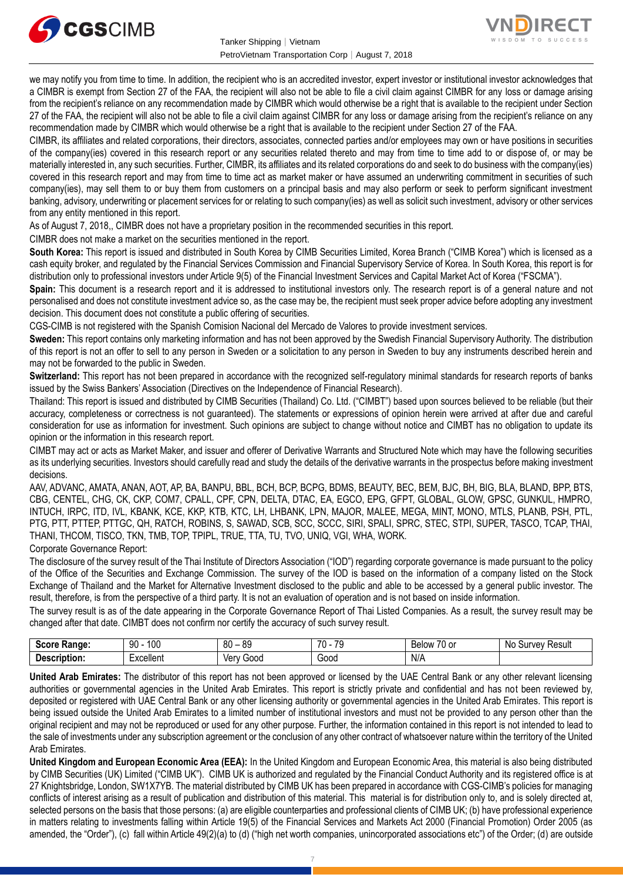



we may notify you from time to time. In addition, the recipient who is an accredited investor, expert investor or institutional investor acknowledges that a CIMBR is exempt from Section 27 of the FAA, the recipient will also not be able to file a civil claim against CIMBR for any loss or damage arising from the recipient's reliance on any recommendation made by CIMBR which would otherwise be a right that is available to the recipient under Section 27 of the FAA, the recipient will also not be able to file a civil claim against CIMBR for any loss or damage arising from the recipient's reliance on any recommendation made by CIMBR which would otherwise be a right that is available to the recipient under Section 27 of the FAA.

CIMBR, its affiliates and related corporations, their directors, associates, connected parties and/or employees may own or have positions in securities of the company(ies) covered in this research report or any securities related thereto and may from time to time add to or dispose of, or may be materially interested in, any such securities. Further, CIMBR, its affiliates and its related corporations do and seek to do business with the company(ies) covered in this research report and may from time to time act as market maker or have assumed an underwriting commitment in securities of such company(ies), may sell them to or buy them from customers on a principal basis and may also perform or seek to perform significant investment banking, advisory, underwriting or placement services for or relating to such company(ies) as well as solicit such investment, advisory or other services from any entity mentioned in this report.

As of August 7, 2018,, CIMBR does not have a proprietary position in the recommended securities in this report.

CIMBR does not make a market on the securities mentioned in the report.

**South Korea:** This report is issued and distributed in South Korea by CIMB Securities Limited, Korea Branch ("CIMB Korea") which is licensed as a cash equity broker, and regulated by the Financial Services Commission and Financial Supervisory Service of Korea. In South Korea, this report is for distribution only to professional investors under Article 9(5) of the Financial Investment Services and Capital Market Act of Korea ("FSCMA").

**Spain:** This document is a research report and it is addressed to institutional investors only. The research report is of a general nature and not personalised and does not constitute investment advice so, as the case may be, the recipient must seek proper advice before adopting any investment decision. This document does not constitute a public offering of securities.

CGS-CIMB is not registered with the Spanish Comision Nacional del Mercado de Valores to provide investment services.

**Sweden:** This report contains only marketing information and has not been approved by the Swedish Financial Supervisory Authority. The distribution of this report is not an offer to sell to any person in Sweden or a solicitation to any person in Sweden to buy any instruments described herein and may not be forwarded to the public in Sweden.

**Switzerland:** This report has not been prepared in accordance with the recognized self-regulatory minimal standards for research reports of banks issued by the Swiss Bankers' Association (Directives on the Independence of Financial Research).

Thailand: This report is issued and distributed by CIMB Securities (Thailand) Co. Ltd. ("CIMBT") based upon sources believed to be reliable (but their accuracy, completeness or correctness is not guaranteed). The statements or expressions of opinion herein were arrived at after due and careful consideration for use as information for investment. Such opinions are subject to change without notice and CIMBT has no obligation to update its opinion or the information in this research report.

CIMBT may act or acts as Market Maker, and issuer and offerer of Derivative Warrants and Structured Note which may have the following securities as its underlying securities. Investors should carefully read and study the details of the derivative warrants in the prospectus before making investment decisions.

AAV, ADVANC, AMATA, ANAN, AOT, AP, BA, BANPU, BBL, BCH, BCP, BCPG, BDMS, BEAUTY, BEC, BEM, BJC, BH, BIG, BLA, BLAND, BPP, BTS, CBG, CENTEL, CHG, CK, CKP, COM7, CPALL, CPF, CPN, DELTA, DTAC, EA, EGCO, EPG, GFPT, GLOBAL, GLOW, GPSC, GUNKUL, HMPRO, INTUCH, IRPC, ITD, IVL, KBANK, KCE, KKP, KTB, KTC, LH, LHBANK, LPN, MAJOR, MALEE, MEGA, MINT, MONO, MTLS, PLANB, PSH, PTL, PTG, PTT, PTTEP, PTTGC, QH, RATCH, ROBINS, S, SAWAD, SCB, SCC, SCCC, SIRI, SPALI, SPRC, STEC, STPI, SUPER, TASCO, TCAP, THAI, THANI, THCOM, TISCO, TKN, TMB, TOP, TPIPL, TRUE, TTA, TU, TVO, UNIQ, VGI, WHA, WORK.

### Corporate Governance Report:

The disclosure of the survey result of the Thai Institute of Directors Association ("IOD") regarding corporate governance is made pursuant to the policy of the Office of the Securities and Exchange Commission. The survey of the IOD is based on the information of a company listed on the Stock Exchange of Thailand and the Market for Alternative Investment disclosed to the public and able to be accessed by a general public investor. The result, therefore, is from the perspective of a third party. It is not an evaluation of operation and is not based on inside information.

The survey result is as of the date appearing in the Corporate Governance Report of Thai Listed Companies. As a result, the survey result may be changed after that date. CIMBT does not confirm nor certify the accuracy of such survey result.

| Score<br>nae.  | 100<br>90    | 80<br><b>RC</b><br>v | $\overline{z}$<br>$\overline{\phantom{a}}$<br>/ U | $-$<br>יינ<br>۷۷،<br>DU.<br>$\cdot$<br>ີ | ∵Resu⊾<br>N0<br>uve. |
|----------------|--------------|----------------------|---------------------------------------------------|------------------------------------------|----------------------|
| -<br>. Jescrir | .<br>xcellen | 1000<br>ver          | Good<br>.                                         | N/A                                      |                      |

**United Arab Emirates:** The distributor of this report has not been approved or licensed by the UAE Central Bank or any other relevant licensing authorities or governmental agencies in the United Arab Emirates. This report is strictly private and confidential and has not been reviewed by, deposited or registered with UAE Central Bank or any other licensing authority or governmental agencies in the United Arab Emirates. This report is being issued outside the United Arab Emirates to a limited number of institutional investors and must not be provided to any person other than the original recipient and may not be reproduced or used for any other purpose. Further, the information contained in this report is not intended to lead to the sale of investments under any subscription agreement or the conclusion of any other contract of whatsoever nature within the territory of the United Arab Emirates.

**United Kingdom and European Economic Area (EEA):** In the United Kingdom and European Economic Area, this material is also being distributed by CIMB Securities (UK) Limited ("CIMB UK"). CIMB UK is authorized and regulated by the Financial Conduct Authority and its registered office is at 27 Knightsbridge, London, SW1X7YB. The material distributed by CIMB UK has been prepared in accordance with CGS-CIMB's policies for managing conflicts of interest arising as a result of publication and distribution of this material. This material is for distribution only to, and is solely directed at, selected persons on the basis that those persons: (a) are eligible counterparties and professional clients of CIMB UK; (b) have professional experience in matters relating to investments falling within Article 19(5) of the Financial Services and Markets Act 2000 (Financial Promotion) Order 2005 (as amended, the "Order"), (c) fall within Article 49(2)(a) to (d) ("high net worth companies, unincorporated associations etc") of the Order; (d) are outside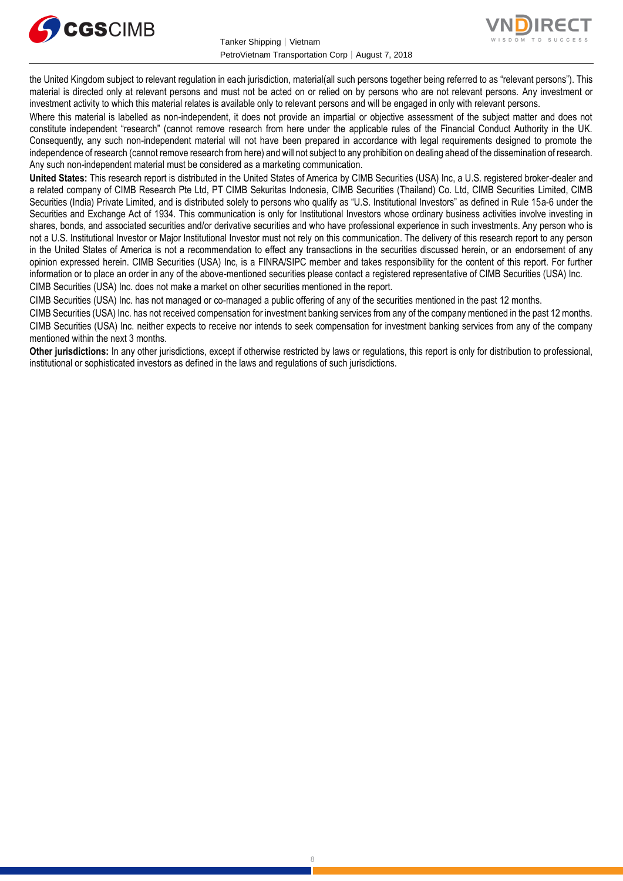



the United Kingdom subject to relevant regulation in each jurisdiction, material(all such persons together being referred to as "relevant persons"). This material is directed only at relevant persons and must not be acted on or relied on by persons who are not relevant persons. Any investment or investment activity to which this material relates is available only to relevant persons and will be engaged in only with relevant persons.

Where this material is labelled as non-independent, it does not provide an impartial or objective assessment of the subject matter and does not constitute independent "research" (cannot remove research from here under the applicable rules of the Financial Conduct Authority in the UK. Consequently, any such non-independent material will not have been prepared in accordance with legal requirements designed to promote the independence of research (cannot remove research from here) and will not subject to any prohibition on dealing ahead of the dissemination of research. Any such non-independent material must be considered as a marketing communication.

**United States:** This research report is distributed in the United States of America by CIMB Securities (USA) Inc, a U.S. registered broker-dealer and a related company of CIMB Research Pte Ltd, PT CIMB Sekuritas Indonesia, CIMB Securities (Thailand) Co. Ltd, CIMB Securities Limited, CIMB Securities (India) Private Limited, and is distributed solely to persons who qualify as "U.S. Institutional Investors" as defined in Rule 15a-6 under the Securities and Exchange Act of 1934. This communication is only for Institutional Investors whose ordinary business activities involve investing in shares, bonds, and associated securities and/or derivative securities and who have professional experience in such investments. Any person who is not a U.S. Institutional Investor or Major Institutional Investor must not rely on this communication. The delivery of this research report to any person in the United States of America is not a recommendation to effect any transactions in the securities discussed herein, or an endorsement of any opinion expressed herein. CIMB Securities (USA) Inc, is a FINRA/SIPC member and takes responsibility for the content of this report. For further information or to place an order in any of the above-mentioned securities please contact a registered representative of CIMB Securities (USA) Inc. CIMB Securities (USA) Inc. does not make a market on other securities mentioned in the report.

CIMB Securities (USA) Inc. has not managed or co-managed a public offering of any of the securities mentioned in the past 12 months.

CIMB Securities (USA) Inc. has not received compensation for investment banking services from any of the company mentioned in the past 12 months. CIMB Securities (USA) Inc. neither expects to receive nor intends to seek compensation for investment banking services from any of the company mentioned within the next 3 months.

**Other jurisdictions:** In any other jurisdictions, except if otherwise restricted by laws or regulations, this report is only for distribution to professional, institutional or sophisticated investors as defined in the laws and regulations of such jurisdictions.